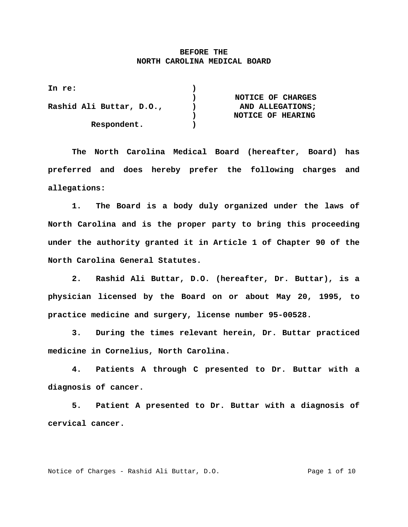## **BEFORE THE NORTH CAROLINA MEDICAL BOARD**

| In re:                   |                   |
|--------------------------|-------------------|
|                          | NOTICE OF CHARGES |
| Rashid Ali Buttar, D.O., | AND ALLEGATIONS:  |
|                          | NOTICE OF HEARING |
| Respondent.              |                   |

 **The North Carolina Medical Board (hereafter, Board) has preferred and does hereby prefer the following charges and allegations:** 

 **1. The Board is a body duly organized under the laws of North Carolina and is the proper party to bring this proceeding under the authority granted it in Article 1 of Chapter 90 of the North Carolina General Statutes.** 

 **2. Rashid Ali Buttar, D.O. (hereafter, Dr. Buttar), is a physician licensed by the Board on or about May 20, 1995, to practice medicine and surgery, license number 95-00528.** 

 **3. During the times relevant herein, Dr. Buttar practiced medicine in Cornelius, North Carolina.** 

 **4. Patients A through C presented to Dr. Buttar with a diagnosis of cancer.** 

 **5. Patient A presented to Dr. Buttar with a diagnosis of cervical cancer.** 

Notice of Charges - Rashid Ali Buttar, D.O. The Mage 1 of 10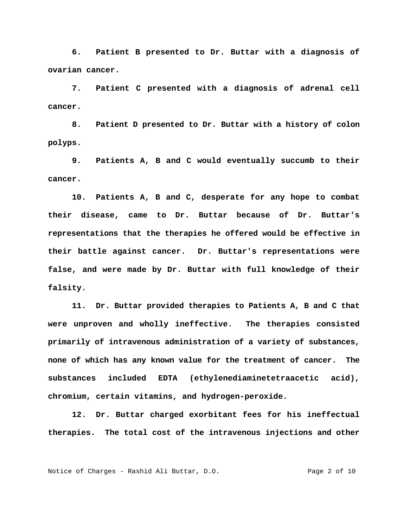**6. Patient B presented to Dr. Buttar with a diagnosis of ovarian cancer.** 

 **7. Patient C presented with a diagnosis of adrenal cell cancer.** 

 **8. Patient D presented to Dr. Buttar with a history of colon polyps.** 

 **9. Patients A, B and C would eventually succumb to their cancer.** 

 **10. Patients A, B and C, desperate for any hope to combat their disease, came to Dr. Buttar because of Dr. Buttar's representations that the therapies he offered would be effective in their battle against cancer. Dr. Buttar's representations were false, and were made by Dr. Buttar with full knowledge of their falsity.** 

 **11. Dr. Buttar provided therapies to Patients A, B and C that were unproven and wholly ineffective. The therapies consisted primarily of intravenous administration of a variety of substances, none of which has any known value for the treatment of cancer. The substances included EDTA (ethylenediaminetetraacetic acid), chromium, certain vitamins, and hydrogen-peroxide.** 

 **12. Dr. Buttar charged exorbitant fees for his ineffectual therapies. The total cost of the intravenous injections and other**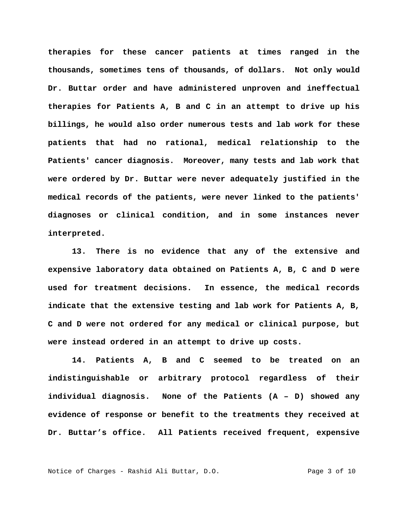**therapies for these cancer patients at times ranged in the thousands, sometimes tens of thousands, of dollars. Not only would Dr. Buttar order and have administered unproven and ineffectual therapies for Patients A, B and C in an attempt to drive up his billings, he would also order numerous tests and lab work for these patients that had no rational, medical relationship to the Patients' cancer diagnosis. Moreover, many tests and lab work that were ordered by Dr. Buttar were never adequately justified in the medical records of the patients, were never linked to the patients' diagnoses or clinical condition, and in some instances never interpreted.** 

 **13. There is no evidence that any of the extensive and expensive laboratory data obtained on Patients A, B, C and D were used for treatment decisions. In essence, the medical records indicate that the extensive testing and lab work for Patients A, B, C and D were not ordered for any medical or clinical purpose, but were instead ordered in an attempt to drive up costs.** 

 **14. Patients A, B and C seemed to be treated on an indistinguishable or arbitrary protocol regardless of their individual diagnosis. None of the Patients (A – D) showed any evidence of response or benefit to the treatments they received at Dr. Buttar's office. All Patients received frequent, expensive** 

Notice of Charges - Rashid Ali Buttar, D.O. Page 3 of 10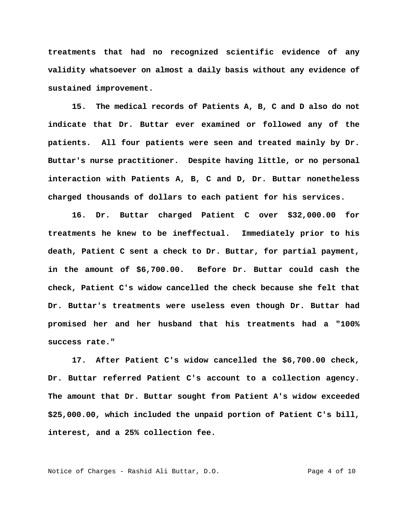**treatments that had no recognized scientific evidence of any validity whatsoever on almost a daily basis without any evidence of sustained improvement.** 

 **15. The medical records of Patients A, B, C and D also do not indicate that Dr. Buttar ever examined or followed any of the patients. All four patients were seen and treated mainly by Dr. Buttar's nurse practitioner. Despite having little, or no personal interaction with Patients A, B, C and D, Dr. Buttar nonetheless charged thousands of dollars to each patient for his services.** 

 **16. Dr. Buttar charged Patient C over \$32,000.00 for treatments he knew to be ineffectual. Immediately prior to his death, Patient C sent a check to Dr. Buttar, for partial payment, in the amount of \$6,700.00. Before Dr. Buttar could cash the check, Patient C's widow cancelled the check because she felt that Dr. Buttar's treatments were useless even though Dr. Buttar had promised her and her husband that his treatments had a "100% success rate."** 

 **17. After Patient C's widow cancelled the \$6,700.00 check, Dr. Buttar referred Patient C's account to a collection agency. The amount that Dr. Buttar sought from Patient A's widow exceeded \$25,000.00, which included the unpaid portion of Patient C's bill, interest, and a 25% collection fee.** 

Notice of Charges - Rashid Ali Buttar, D.O. Page 4 of 10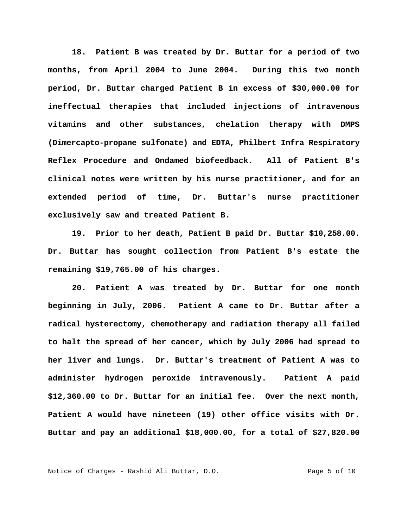**18. Patient B was treated by Dr. Buttar for a period of two months, from April 2004 to June 2004. During this two month period, Dr. Buttar charged Patient B in excess of \$30,000.00 for ineffectual therapies that included injections of intravenous vitamins and other substances, chelation therapy with DMPS (Dimercapto-propane sulfonate) and EDTA, Philbert Infra Respiratory Reflex Procedure and Ondamed biofeedback. All of Patient B's clinical notes were written by his nurse practitioner, and for an extended period of time, Dr. Buttar's nurse practitioner exclusively saw and treated Patient B.** 

 **19. Prior to her death, Patient B paid Dr. Buttar \$10,258.00. Dr. Buttar has sought collection from Patient B's estate the remaining \$19,765.00 of his charges.** 

 **20. Patient A was treated by Dr. Buttar for one month beginning in July, 2006. Patient A came to Dr. Buttar after a radical hysterectomy, chemotherapy and radiation therapy all failed to halt the spread of her cancer, which by July 2006 had spread to her liver and lungs. Dr. Buttar's treatment of Patient A was to administer hydrogen peroxide intravenously. Patient A paid \$12,360.00 to Dr. Buttar for an initial fee. Over the next month, Patient A would have nineteen (19) other office visits with Dr. Buttar and pay an additional \$18,000.00, for a total of \$27,820.00** 

Notice of Charges - Rashid Ali Buttar, D.O. Page 5 of 10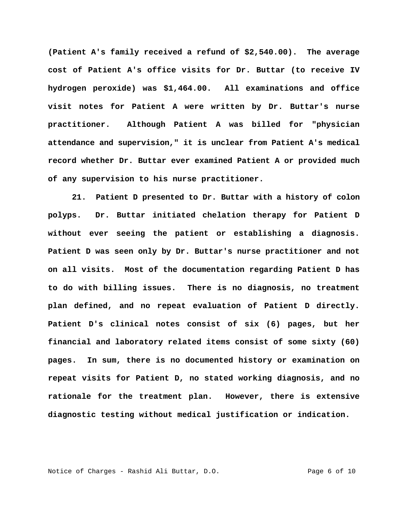**(Patient A's family received a refund of \$2,540.00). The average cost of Patient A's office visits for Dr. Buttar (to receive IV hydrogen peroxide) was \$1,464.00. All examinations and office visit notes for Patient A were written by Dr. Buttar's nurse practitioner. Although Patient A was billed for "physician attendance and supervision," it is unclear from Patient A's medical record whether Dr. Buttar ever examined Patient A or provided much of any supervision to his nurse practitioner.** 

 **21. Patient D presented to Dr. Buttar with a history of colon polyps. Dr. Buttar initiated chelation therapy for Patient D without ever seeing the patient or establishing a diagnosis. Patient D was seen only by Dr. Buttar's nurse practitioner and not on all visits. Most of the documentation regarding Patient D has to do with billing issues. There is no diagnosis, no treatment plan defined, and no repeat evaluation of Patient D directly. Patient D's clinical notes consist of six (6) pages, but her financial and laboratory related items consist of some sixty (60) pages. In sum, there is no documented history or examination on repeat visits for Patient D, no stated working diagnosis, and no rationale for the treatment plan. However, there is extensive diagnostic testing without medical justification or indication.** 

Notice of Charges - Rashid Ali Buttar, D.O. Page 6 of 10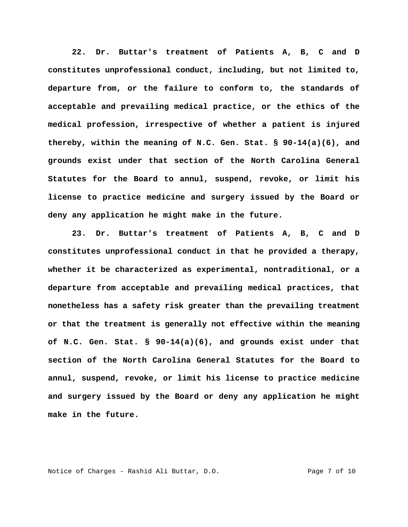**22. Dr. Buttar's treatment of Patients A, B, C and D constitutes unprofessional conduct, including, but not limited to, departure from, or the failure to conform to, the standards of acceptable and prevailing medical practice, or the ethics of the medical profession, irrespective of whether a patient is injured thereby, within the meaning of N.C. Gen. Stat. § 90-14(a)(6), and grounds exist under that section of the North Carolina General Statutes for the Board to annul, suspend, revoke, or limit his license to practice medicine and surgery issued by the Board or deny any application he might make in the future.** 

**23. Dr. Buttar's treatment of Patients A, B, C and D constitutes unprofessional conduct in that he provided a therapy, whether it be characterized as experimental, nontraditional, or a departure from acceptable and prevailing medical practices, that nonetheless has a safety risk greater than the prevailing treatment or that the treatment is generally not effective within the meaning of N.C. Gen. Stat. § 90-14(a)(6), and grounds exist under that section of the North Carolina General Statutes for the Board to annul, suspend, revoke, or limit his license to practice medicine and surgery issued by the Board or deny any application he might make in the future.** 

Notice of Charges - Rashid Ali Buttar, D.O. Page 7 of 10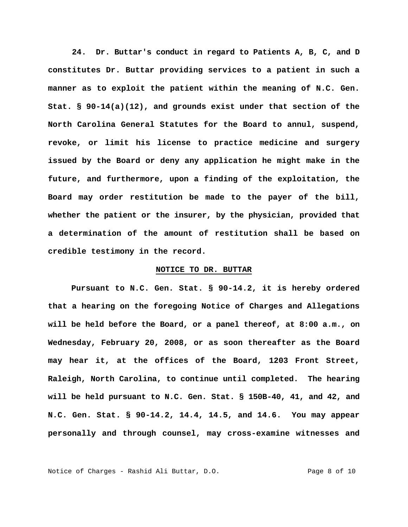**24. Dr. Buttar's conduct in regard to Patients A, B, C, and D constitutes Dr. Buttar providing services to a patient in such a manner as to exploit the patient within the meaning of N.C. Gen. Stat. § 90-14(a)(12), and grounds exist under that section of the North Carolina General Statutes for the Board to annul, suspend, revoke, or limit his license to practice medicine and surgery issued by the Board or deny any application he might make in the future, and furthermore, upon a finding of the exploitation, the Board may order restitution be made to the payer of the bill, whether the patient or the insurer, by the physician, provided that a determination of the amount of restitution shall be based on credible testimony in the record.** 

## **NOTICE TO DR. BUTTAR**

**Pursuant to N.C. Gen. Stat. § 90-14.2, it is hereby ordered that a hearing on the foregoing Notice of Charges and Allegations will be held before the Board, or a panel thereof, at 8:00 a.m., on Wednesday, February 20, 2008, or as soon thereafter as the Board may hear it, at the offices of the Board, 1203 Front Street, Raleigh, North Carolina, to continue until completed. The hearing will be held pursuant to N.C. Gen. Stat. § 150B-40, 41, and 42, and N.C. Gen. Stat. § 90-14.2, 14.4, 14.5, and 14.6. You may appear personally and through counsel, may cross-examine witnesses and** 

Notice of Charges - Rashid Ali Buttar, D.O. Page 8 of 10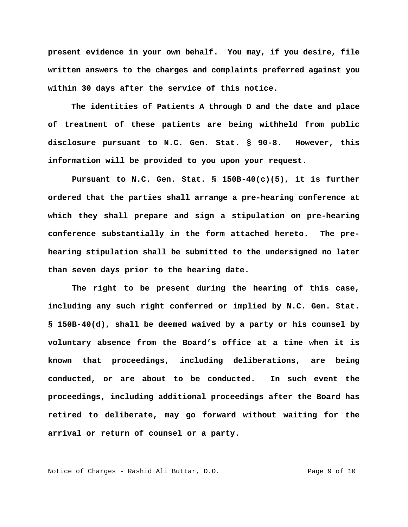**present evidence in your own behalf. You may, if you desire, file written answers to the charges and complaints preferred against you within 30 days after the service of this notice.** 

**The identities of Patients A through D and the date and place of treatment of these patients are being withheld from public disclosure pursuant to N.C. Gen. Stat. § 90-8. However, this information will be provided to you upon your request.** 

**Pursuant to N.C. Gen. Stat. § 150B-40(c)(5), it is further ordered that the parties shall arrange a pre-hearing conference at which they shall prepare and sign a stipulation on pre-hearing conference substantially in the form attached hereto. The prehearing stipulation shall be submitted to the undersigned no later than seven days prior to the hearing date.** 

**The right to be present during the hearing of this case, including any such right conferred or implied by N.C. Gen. Stat. § 150B-40(d), shall be deemed waived by a party or his counsel by voluntary absence from the Board's office at a time when it is known that proceedings, including deliberations, are being conducted, or are about to be conducted. In such event the proceedings, including additional proceedings after the Board has retired to deliberate, may go forward without waiting for the arrival or return of counsel or a party.** 

Notice of Charges - Rashid Ali Buttar, D.O. Page 9 of 10